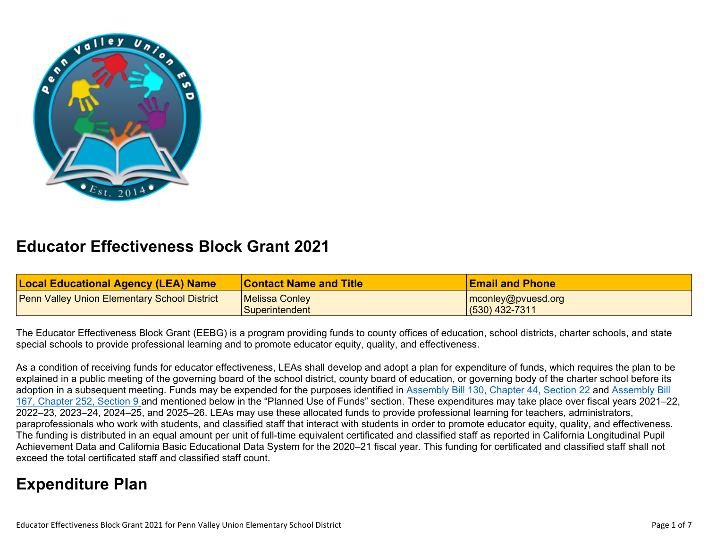

## **Educator Effectiveness Block Grant 2021**

| <b>Local Educational Agency (LEA) Name</b>          | <b>Contact Name and Title</b> | <b>Email and Phone</b> |
|-----------------------------------------------------|-------------------------------|------------------------|
| <b>Penn Valley Union Elementary School District</b> | Melissa Conley                | $ $ mconley@pvuesd.org |
|                                                     | Superintendent                | $(530)$ 432-7311       |

The Educator Effectiveness Block Grant (EEBG) is a program providing funds to county offices of education, school districts, charter schools, and state special schools to provide professional learning and to promote educator equity, quality, and effectiveness.

As a condition of receiving funds for educator effectiveness, LEAs shall develop and adopt a plan for expenditure of funds, which requires the plan to be explained in a public meeting of the governing board of the school district, county board of education, or governing body of the charter school before its adoption in a subsequent meeting. Funds may be expended for the purposes identified in [Assembly Bill 130, Chapter 44, Section 22](https://urldefense.com/v3/__https:/nam04.safelinks.protection.outlook.com/?url=https*3A*2F*2Furldefense.proofpoint.com*2Fv2*2Furl*3Fu*3Dhttps-3A__leginfo.legislature.ca.gov_faces_billTextClient.xhtml-3Fbill-5Fid-3D202120220AB130-26search-5Fkeywords-3DEducator-2BEffectiveness*26d*3DDwMFAg*26c*3DSIStQSL0VMIUJoLS-Q8giiFlA-AKdP7tpJHyQh8DeXk*26r*3DsCVk5hxDzz279zv20qe4YFc83-NyI4szt5PwHPmXSUw*26m*3D43v9K9zY3JHxmNgSFESgS1_h1GQz3idDcu0YFKSFO8s*26s*3D8RdCCEU3-EbbmNq6yUPABP1NskQMpEV7QbQMtK8Gjik*26e*3D&data=04*7C01*7Cpatricia.karlin*40sdcoe.net*7Cc40f0d4b6a6d4e2e697908d989147946*7Cfd6cc79e7b6944d0b8cdaf4a102bd0d6*7C1*7C0*7C637691543307477086*7CUnknown*7CTWFpbGZsb3d8eyJWIjoiMC4wLjAwMDAiLCJQIjoiV2luMzIiLCJBTiI6Ik1haWwiLCJXVCI6Mn0*3D*7C1000&sdata=GSoyYh1v1Abt*2FTdwgxFvnh3OHxJ*2BBqKlDwPfrixznzE*3D&reserved=0__;JSUlJSUlJSUlJSUlJSUlJSUlJSUlJSUlJSUlJSUlJSUlJQ!!LqsEMg!FsW425f4mps_gpcAxRLTWhdQpYBv2HXRQRYy3hvZXJJ-Tn5qmR5gOZtfLJsA$) and [Assembly Bill](https://leginfo.legislature.ca.gov/faces/billTextClient.xhtml?bill_id=202120220AB167)  [167, Chapter 252, Section 9](https://leginfo.legislature.ca.gov/faces/billTextClient.xhtml?bill_id=202120220AB167) and mentioned below in the "Planned Use of Funds" section. These expenditures may take place over fiscal years 2021–22, 2022–23, 2023–24, 2024–25, and 2025–26. LEAs may use these allocated funds to provide professional learning for teachers, administrators, paraprofessionals who work with students, and classified staff that interact with students in order to promote educator equity, quality, and effectiveness. The funding is distributed in an equal amount per unit of full-time equivalent certificated and classified staff as reported in California Longitudinal Pupil Achievement Data and California Basic Educational Data System for the 2020–21 fiscal year. This funding for certificated and classified staff shall not exceed the total certificated staff and classified staff count.

# **Expenditure Plan**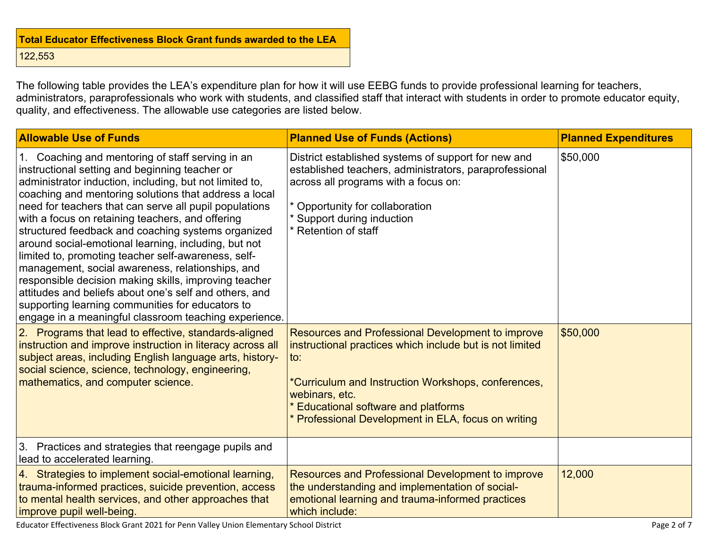| <b>Total Educator Effectiveness Block Grant funds awarded to the LEA</b> |  |  |  |
|--------------------------------------------------------------------------|--|--|--|
| 122,553                                                                  |  |  |  |

The following table provides the LEA's expenditure plan for how it will use EEBG funds to provide professional learning for teachers, administrators, paraprofessionals who work with students, and classified staff that interact with students in order to promote educator equity, quality, and effectiveness. The allowable use categories are listed below.

| <b>Allowable Use of Funds</b>                                                                                                                                                                                                                                                                                                                                                                                                                                                                                                                                                                                                                                                                                                                                                                                                                                                                                                                                                                                                                                               | <b>Planned Use of Funds (Actions)</b>                                                                                                                                                                                                                                                                                                                                                                                                                                                                                                                           | <b>Planned Expenditures</b> |
|-----------------------------------------------------------------------------------------------------------------------------------------------------------------------------------------------------------------------------------------------------------------------------------------------------------------------------------------------------------------------------------------------------------------------------------------------------------------------------------------------------------------------------------------------------------------------------------------------------------------------------------------------------------------------------------------------------------------------------------------------------------------------------------------------------------------------------------------------------------------------------------------------------------------------------------------------------------------------------------------------------------------------------------------------------------------------------|-----------------------------------------------------------------------------------------------------------------------------------------------------------------------------------------------------------------------------------------------------------------------------------------------------------------------------------------------------------------------------------------------------------------------------------------------------------------------------------------------------------------------------------------------------------------|-----------------------------|
| 1. Coaching and mentoring of staff serving in an<br>instructional setting and beginning teacher or<br>administrator induction, including, but not limited to,<br>coaching and mentoring solutions that address a local<br>need for teachers that can serve all pupil populations<br>with a focus on retaining teachers, and offering<br>structured feedback and coaching systems organized<br>around social-emotional learning, including, but not<br>limited to, promoting teacher self-awareness, self-<br>management, social awareness, relationships, and<br>responsible decision making skills, improving teacher<br>attitudes and beliefs about one's self and others, and<br>supporting learning communities for educators to<br>engage in a meaningful classroom teaching experience.<br>2. Programs that lead to effective, standards-aligned<br>instruction and improve instruction in literacy across all<br>subject areas, including English language arts, history-<br>social science, science, technology, engineering,<br>mathematics, and computer science. | District established systems of support for new and<br>established teachers, administrators, paraprofessional<br>across all programs with a focus on:<br>* Opportunity for collaboration<br>* Support during induction<br>* Retention of staff<br>Resources and Professional Development to improve<br>instructional practices which include but is not limited<br>$\mathsf{to}$ :<br>*Curriculum and Instruction Workshops, conferences,<br>webinars, etc.<br><b>Educational software and platforms</b><br>* Professional Development in ELA, focus on writing | \$50,000<br>\$50,000        |
| 3. Practices and strategies that reengage pupils and                                                                                                                                                                                                                                                                                                                                                                                                                                                                                                                                                                                                                                                                                                                                                                                                                                                                                                                                                                                                                        |                                                                                                                                                                                                                                                                                                                                                                                                                                                                                                                                                                 |                             |
| lead to accelerated learning.                                                                                                                                                                                                                                                                                                                                                                                                                                                                                                                                                                                                                                                                                                                                                                                                                                                                                                                                                                                                                                               |                                                                                                                                                                                                                                                                                                                                                                                                                                                                                                                                                                 |                             |
| 4. Strategies to implement social-emotional learning,<br>trauma-informed practices, suicide prevention, access<br>to mental health services, and other approaches that<br>improve pupil well-being.                                                                                                                                                                                                                                                                                                                                                                                                                                                                                                                                                                                                                                                                                                                                                                                                                                                                         | Resources and Professional Development to improve<br>the understanding and implementation of social-<br>emotional learning and trauma-informed practices<br>which include:                                                                                                                                                                                                                                                                                                                                                                                      | 12,000                      |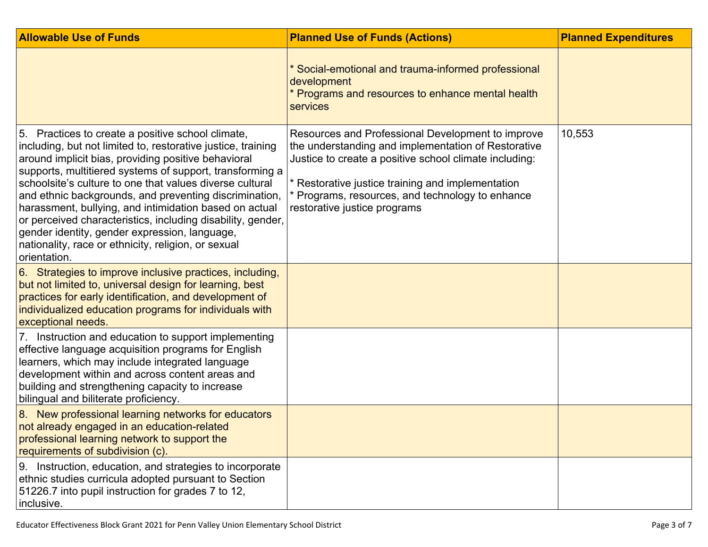| <b>Allowable Use of Funds</b>                                                                                                                                                                                                                                                                                                                                                                                                                                                                                                                                                                               | <b>Planned Use of Funds (Actions)</b>                                                                                                                                                                                                                                                                       | <b>Planned Expenditures</b> |
|-------------------------------------------------------------------------------------------------------------------------------------------------------------------------------------------------------------------------------------------------------------------------------------------------------------------------------------------------------------------------------------------------------------------------------------------------------------------------------------------------------------------------------------------------------------------------------------------------------------|-------------------------------------------------------------------------------------------------------------------------------------------------------------------------------------------------------------------------------------------------------------------------------------------------------------|-----------------------------|
|                                                                                                                                                                                                                                                                                                                                                                                                                                                                                                                                                                                                             | * Social-emotional and trauma-informed professional<br>development<br>* Programs and resources to enhance mental health<br>services                                                                                                                                                                         |                             |
| 5. Practices to create a positive school climate,<br>including, but not limited to, restorative justice, training<br>around implicit bias, providing positive behavioral<br>supports, multitiered systems of support, transforming a<br>schoolsite's culture to one that values diverse cultural<br>and ethnic backgrounds, and preventing discrimination,<br>harassment, bullying, and intimidation based on actual<br>or perceived characteristics, including disability, gender,<br>gender identity, gender expression, language,<br>nationality, race or ethnicity, religion, or sexual<br>orientation. | Resources and Professional Development to improve<br>the understanding and implementation of Restorative<br>Justice to create a positive school climate including:<br>* Restorative justice training and implementation<br>* Programs, resources, and technology to enhance<br>restorative justice programs | 10,553                      |
| 6. Strategies to improve inclusive practices, including,<br>but not limited to, universal design for learning, best<br>practices for early identification, and development of<br>individualized education programs for individuals with<br>exceptional needs.                                                                                                                                                                                                                                                                                                                                               |                                                                                                                                                                                                                                                                                                             |                             |
| 7. Instruction and education to support implementing<br>effective language acquisition programs for English<br>learners, which may include integrated language<br>development within and across content areas and<br>building and strengthening capacity to increase<br>bilingual and biliterate proficiency.                                                                                                                                                                                                                                                                                               |                                                                                                                                                                                                                                                                                                             |                             |
| 8. New professional learning networks for educators<br>not already engaged in an education-related<br>professional learning network to support the<br>requirements of subdivision (c).                                                                                                                                                                                                                                                                                                                                                                                                                      |                                                                                                                                                                                                                                                                                                             |                             |
| 9. Instruction, education, and strategies to incorporate<br>ethnic studies curricula adopted pursuant to Section<br>51226.7 into pupil instruction for grades 7 to 12,<br>inclusive.                                                                                                                                                                                                                                                                                                                                                                                                                        |                                                                                                                                                                                                                                                                                                             |                             |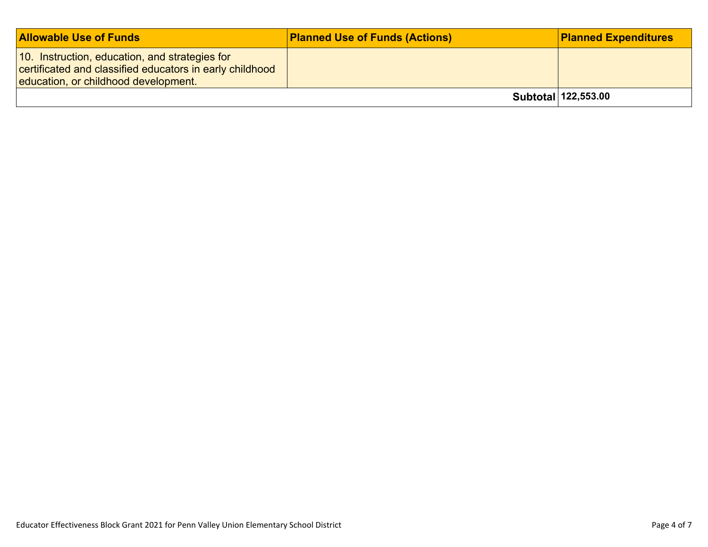| <b>Allowable Use of Funds</b>                                                                                                                      | <b>Planned Use of Funds (Actions)</b> | <b>Planned Expenditures</b> |
|----------------------------------------------------------------------------------------------------------------------------------------------------|---------------------------------------|-----------------------------|
| 10. Instruction, education, and strategies for<br>certificated and classified educators in early childhood<br>education, or childhood development. |                                       |                             |
|                                                                                                                                                    |                                       | Subtotal 122,553.00         |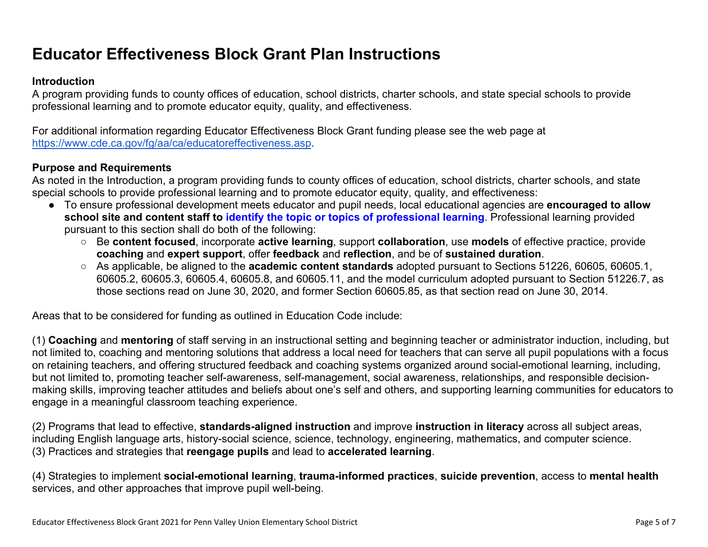## **Educator Effectiveness Block Grant Plan Instructions**

#### **Introduction**

A program providing funds to county offices of education, school districts, charter schools, and state special schools to provide professional learning and to promote educator equity, quality, and effectiveness.

For additional information regarding Educator Effectiveness Block Grant funding please see the web page at <https://www.cde.ca.gov/fg/aa/ca/educatoreffectiveness.asp>.

#### **Purpose and Requirements**

As noted in the Introduction, a program providing funds to county offices of education, school districts, charter schools, and state special schools to provide professional learning and to promote educator equity, quality, and effectiveness:

- To ensure professional development meets educator and pupil needs, local educational agencies are **encouraged to allow school site and content staff to identify the topic or topics of professional learning**. Professional learning provided pursuant to this section shall do both of the following:
	- Be **content focused**, incorporate **active learning**, support **collaboration**, use **models** of effective practice, provide **coaching** and **expert support**, offer **feedback** and **reflection**, and be of **sustained duration**.
	- As applicable, be aligned to the **academic content standards** adopted pursuant to Sections 51226, 60605, 60605.1, 60605.2, 60605.3, 60605.4, 60605.8, and 60605.11, and the model curriculum adopted pursuant to Section 51226.7, as those sections read on June 30, 2020, and former Section 60605.85, as that section read on June 30, 2014.

Areas that to be considered for funding as outlined in Education Code include:

(1) **Coaching** and **mentoring** of staff serving in an instructional setting and beginning teacher or administrator induction, including, but not limited to, coaching and mentoring solutions that address a local need for teachers that can serve all pupil populations with a focus on retaining teachers, and offering structured feedback and coaching systems organized around social-emotional learning, including, but not limited to, promoting teacher self-awareness, self-management, social awareness, relationships, and responsible decisionmaking skills, improving teacher attitudes and beliefs about one's self and others, and supporting learning communities for educators to engage in a meaningful classroom teaching experience.

(2) Programs that lead to effective, **standards-aligned instruction** and improve **instruction in literacy** across all subject areas, including English language arts, history-social science, science, technology, engineering, mathematics, and computer science. (3) Practices and strategies that **reengage pupils** and lead to **accelerated learning**.

(4) Strategies to implement **social-emotional learning**, **trauma-informed practices**, **suicide prevention**, access to **mental health** services, and other approaches that improve pupil well-being.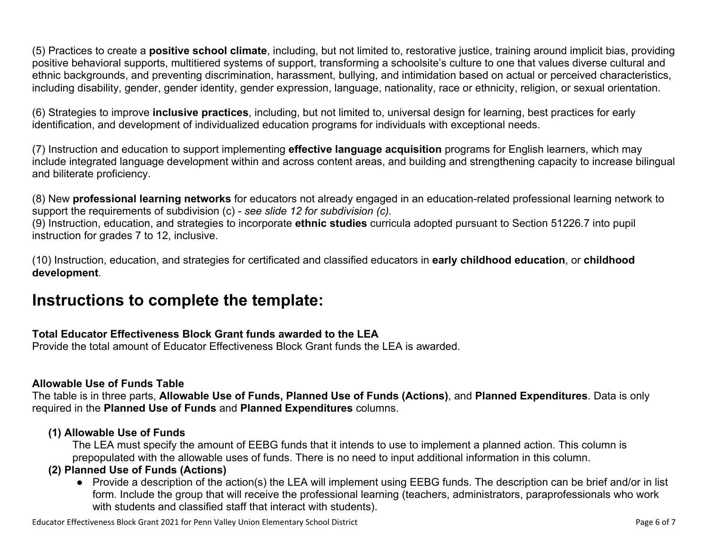(5) Practices to create a **positive school climate**, including, but not limited to, restorative justice, training around implicit bias, providing positive behavioral supports, multitiered systems of support, transforming a schoolsite's culture to one that values diverse cultural and ethnic backgrounds, and preventing discrimination, harassment, bullying, and intimidation based on actual or perceived characteristics, including disability, gender, gender identity, gender expression, language, nationality, race or ethnicity, religion, or sexual orientation.

(6) Strategies to improve **inclusive practices**, including, but not limited to, universal design for learning, best practices for early identification, and development of individualized education programs for individuals with exceptional needs.

(7) Instruction and education to support implementing **effective language acquisition** programs for English learners, which may include integrated language development within and across content areas, and building and strengthening capacity to increase bilingual and biliterate proficiency.

(8) New **professional learning networks** for educators not already engaged in an education-related professional learning network to support the requirements of subdivision (c) - *see slide 12 for subdivision (c).*

(9) Instruction, education, and strategies to incorporate **ethnic studies** curricula adopted pursuant to Section 51226.7 into pupil instruction for grades 7 to 12, inclusive.

(10) Instruction, education, and strategies for certificated and classified educators in **early childhood education**, or **childhood development**.

## **Instructions to complete the template:**

## **Total Educator Effectiveness Block Grant funds awarded to the LEA**

Provide the total amount of Educator Effectiveness Block Grant funds the LEA is awarded.

#### **Allowable Use of Funds Table**

The table is in three parts, **Allowable Use of Funds, Planned Use of Funds (Actions)**, and **Planned Expenditures**. Data is only required in the **Planned Use of Funds** and **Planned Expenditures** columns.

#### **(1) Allowable Use of Funds**

The LEA must specify the amount of EEBG funds that it intends to use to implement a planned action. This column is prepopulated with the allowable uses of funds. There is no need to input additional information in this column.

## **(2) Planned Use of Funds (Actions)**

● Provide a description of the action(s) the LEA will implement using EEBG funds. The description can be brief and/or in list form. Include the group that will receive the professional learning (teachers, administrators, paraprofessionals who work with students and classified staff that interact with students).